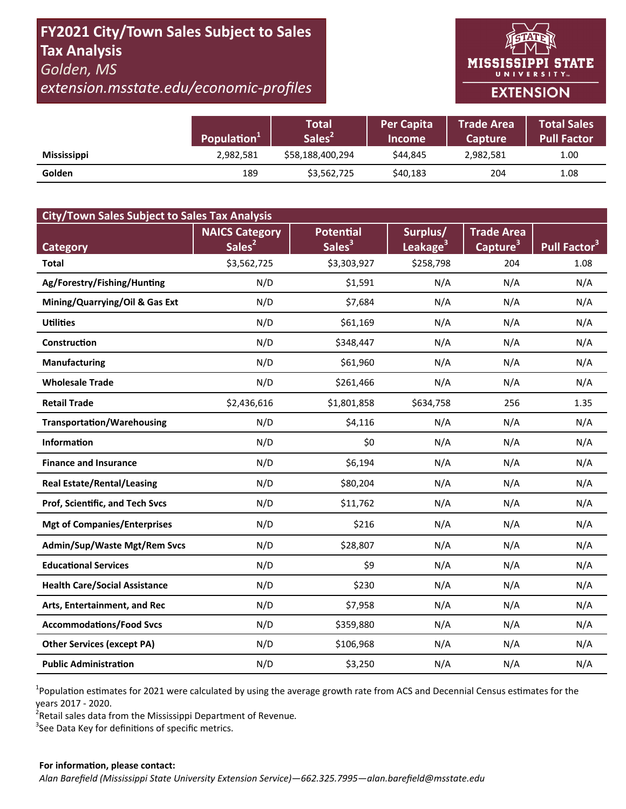# **FY2021 City/Town Sales Subject to Sales Tax Analysis**  *Golden, MS*

*extension.msstate.edu/economic‐profiles* 



|                    | Population <sup>1</sup> | Total<br>Sales <sup>2</sup> | <b>Per Capita</b><br><b>Income</b> | <b>Trade Area</b><br><b>Capture</b> | <b>Total Sales</b><br><b>Pull Factor</b> |
|--------------------|-------------------------|-----------------------------|------------------------------------|-------------------------------------|------------------------------------------|
| <b>Mississippi</b> | 2,982,581               | \$58,188,400,294            | \$44.845                           | 2,982,581                           | 1.00                                     |
| Golden             | 189                     | \$3,562,725                 | \$40,183                           | 204                                 | 1.08                                     |

| <b>City/Town Sales Subject to Sales Tax Analysis</b> |                       |                    |                      |                      |                          |  |  |  |  |
|------------------------------------------------------|-----------------------|--------------------|----------------------|----------------------|--------------------------|--|--|--|--|
|                                                      | <b>NAICS Category</b> | <b>Potential</b>   | Surplus/             | <b>Trade Area</b>    |                          |  |  |  |  |
| <b>Category</b>                                      | Sales <sup>2</sup>    | Sales <sup>3</sup> | Leakage <sup>3</sup> | Capture <sup>3</sup> | Pull Factor <sup>3</sup> |  |  |  |  |
| <b>Total</b>                                         | \$3,562,725           | \$3,303,927        | \$258,798            | 204                  | 1.08                     |  |  |  |  |
| Ag/Forestry/Fishing/Hunting                          | N/D                   | \$1,591            | N/A                  | N/A                  | N/A                      |  |  |  |  |
| Mining/Quarrying/Oil & Gas Ext                       | N/D                   | \$7,684            | N/A                  | N/A                  | N/A                      |  |  |  |  |
| <b>Utilities</b>                                     | N/D                   | \$61,169           | N/A                  | N/A                  | N/A                      |  |  |  |  |
| <b>Construction</b>                                  | N/D                   | \$348,447          | N/A                  | N/A                  | N/A                      |  |  |  |  |
| <b>Manufacturing</b>                                 | N/D                   | \$61,960           | N/A                  | N/A                  | N/A                      |  |  |  |  |
| <b>Wholesale Trade</b>                               | N/D                   | \$261,466          | N/A                  | N/A                  | N/A                      |  |  |  |  |
| <b>Retail Trade</b>                                  | \$2,436,616           | \$1,801,858        | \$634,758            | 256                  | 1.35                     |  |  |  |  |
| <b>Transportation/Warehousing</b>                    | N/D                   | \$4,116            | N/A                  | N/A                  | N/A                      |  |  |  |  |
| <b>Information</b>                                   | N/D                   | \$0                | N/A                  | N/A                  | N/A                      |  |  |  |  |
| <b>Finance and Insurance</b>                         | N/D                   | \$6,194            | N/A                  | N/A                  | N/A                      |  |  |  |  |
| <b>Real Estate/Rental/Leasing</b>                    | N/D                   | \$80,204           | N/A                  | N/A                  | N/A                      |  |  |  |  |
| Prof, Scientific, and Tech Svcs                      | N/D                   | \$11,762           | N/A                  | N/A                  | N/A                      |  |  |  |  |
| <b>Mgt of Companies/Enterprises</b>                  | N/D                   | \$216              | N/A                  | N/A                  | N/A                      |  |  |  |  |
| Admin/Sup/Waste Mgt/Rem Svcs                         | N/D                   | \$28,807           | N/A                  | N/A                  | N/A                      |  |  |  |  |
| <b>Educational Services</b>                          | N/D                   | \$9                | N/A                  | N/A                  | N/A                      |  |  |  |  |
| <b>Health Care/Social Assistance</b>                 | N/D                   | \$230              | N/A                  | N/A                  | N/A                      |  |  |  |  |
| Arts, Entertainment, and Rec                         | N/D                   | \$7,958            | N/A                  | N/A                  | N/A                      |  |  |  |  |
| <b>Accommodations/Food Svcs</b>                      | N/D                   | \$359,880          | N/A                  | N/A                  | N/A                      |  |  |  |  |
| <b>Other Services (except PA)</b>                    | N/D                   | \$106,968          | N/A                  | N/A                  | N/A                      |  |  |  |  |
| <b>Public Administration</b>                         | N/D                   | \$3,250            | N/A                  | N/A                  | N/A                      |  |  |  |  |

<sup>1</sup>Population estimates for 2021 were calculated by using the average growth rate from ACS and Decennial Census estimates for the years 2017 ‐ 2020.

2 Retail sales data from the Mississippi Department of Revenue*.* 

 $3$ See Data Key for definitions of specific metrics.

#### **For informaƟon, please contact:**  *Alan Barefield (Mississippi State University Extension Service)—662.325.7995—alan.barefield@msstate.edu*